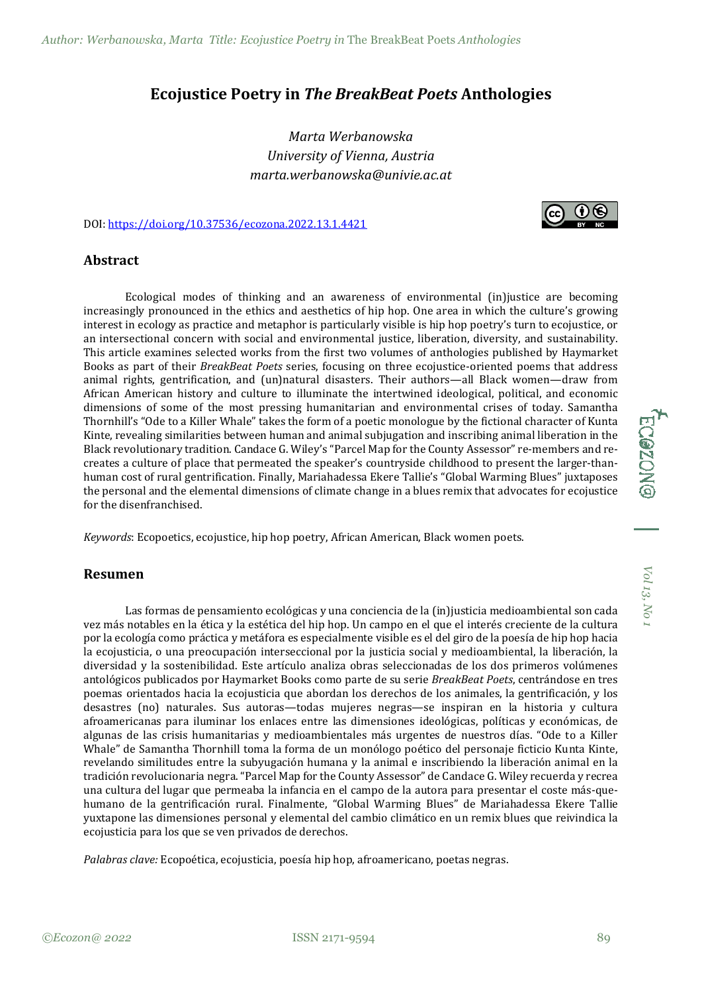## **Ecojustice Poetry in** *The BreakBeat Poets* **Anthologies**

*Marta Werbanowska University of Vienna, Austria marta.werbanowska@univie.ac.at*

DOI: [https://doi.org/10.37536/ecozona.2022.13.1.4421](https://doi.org/10.37536/ECOZONA.2022.13.1.4421)



## **Abstract**

Ecological modes of thinking and an awareness of environmental (in)justice are becoming increasingly pronounced in the ethics and aesthetics of hip hop. One area in which the culture's growing interest in ecology as practice and metaphor is particularly visible is hip hop poetry's turn to ecojustice, or an intersectional concern with social and environmental justice, liberation, diversity, and sustainability. This article examines selected works from the first two volumes of anthologies published by Haymarket Books as part of their *BreakBeat Poets* series, focusing on three ecojustice-oriented poems that address animal rights, gentrification, and (un)natural disasters. Their authors—all Black women—draw from African American history and culture to illuminate the intertwined ideological, political, and economic dimensions of some of the most pressing humanitarian and environmental crises of today. Samantha Thornhill's "Ode to a Killer Whale" takes the form of a poetic monologue by the fictional character of Kunta Kinte, revealing similarities between human and animal subjugation and inscribing animal liberation in the Black revolutionary tradition. Candace G. Wiley's "Parcel Map for the County Assessor" re-members and recreates a culture of place that permeated the speaker's countryside childhood to present the larger-thanhuman cost of rural gentrification. Finally, Mariahadessa Ekere Tallie's "Global Warming Blues" juxtaposes the personal and the elemental dimensions of climate change in a blues remix that advocates for ecojustice for the disenfranchised.

*Keywords*: Ecopoetics, ecojustice, hip hop poetry, African American, Black women poets.

## **Resumen**

Las formas de pensamiento ecológicas y una conciencia de la (in)justicia medioambiental son cada vez más notables en la ética y la estética del hip hop. Un campo en el que el interés creciente de la cultura por la ecología como práctica y metáfora es especialmente visible es el del giro de la poesía de hip hop hacia la ecojusticia, o una preocupación interseccional por la justicia social y medioambiental, la liberación, la diversidad y la sostenibilidad. Este artículo analiza obras seleccionadas de los dos primeros volúmenes antológicos publicados por Haymarket Books como parte de su serie *BreakBeat Poets*, centrándose en tres poemas orientados hacia la ecojusticia que abordan los derechos de los animales, la gentrificación, y los desastres (no) naturales. Sus autoras—todas mujeres negras—se inspiran en la historia y cultura afroamericanas para iluminar los enlaces entre las dimensiones ideológicas, políticas y económicas, de algunas de las crisis humanitarias y medioambientales más urgentes de nuestros días. "Ode to a Killer Whale" de Samantha Thornhill toma la forma de un monólogo poético del personaje ficticio Kunta Kinte, revelando similitudes entre la subyugación humana y la animal e inscribiendo la liberación animal en la tradición revolucionaria negra. "Parcel Map for the County Assessor" de Candace G. Wiley recuerda y recrea una cultura del lugar que permeaba la infancia en el campo de la autora para presentar el coste más-quehumano de la gentrificación rural. Finalmente, "Global Warming Blues" de Mariahadessa Ekere Tallie yuxtapone las dimensiones personal y elemental del cambio climático en un remix blues que reivindica la ecojusticia para los que se ven privados de derechos.

*Palabras clave:* Ecopoética, ecojusticia, poesía hip hop, afroamericano, poetas negras.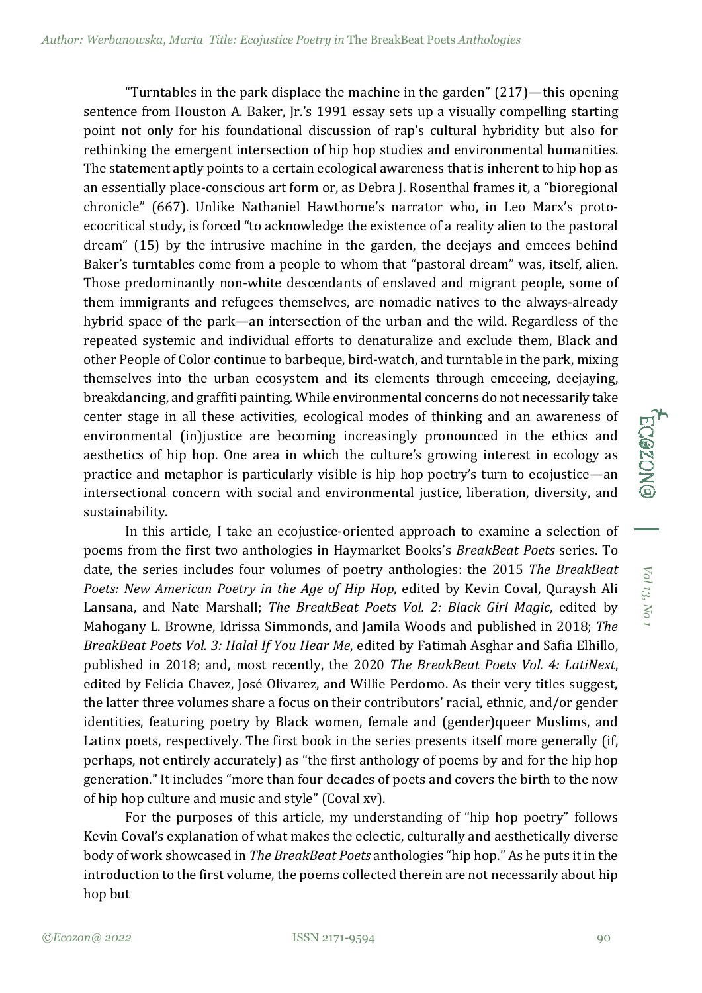"Turntables in the park displace the machine in the garden" (217)—this opening sentence from Houston A. Baker, Jr.'s 1991 essay sets up a visually compelling starting point not only for his foundational discussion of rap's cultural hybridity but also for rethinking the emergent intersection of hip hop studies and environmental humanities. The statement aptly points to a certain ecological awareness that is inherent to hip hop as an essentially place-conscious art form or, as Debra J. Rosenthal frames it, a "bioregional chronicle" (667). Unlike Nathaniel Hawthorne's narrator who, in Leo Marx's protoecocritical study, is forced "to acknowledge the existence of a reality alien to the pastoral dream" (15) by the intrusive machine in the garden, the deejays and emcees behind Baker's turntables come from a people to whom that "pastoral dream" was, itself, alien. Those predominantly non-white descendants of enslaved and migrant people, some of them immigrants and refugees themselves, are nomadic natives to the always-already hybrid space of the park—an intersection of the urban and the wild. Regardless of the repeated systemic and individual efforts to denaturalize and exclude them, Black and other People of Color continue to barbeque, bird-watch, and turntable in the park, mixing themselves into the urban ecosystem and its elements through emceeing, deejaying, breakdancing, and graffiti painting. While environmental concerns do not necessarily take center stage in all these activities, ecological modes of thinking and an awareness of environmental (in)justice are becoming increasingly pronounced in the ethics and aesthetics of hip hop. One area in which the culture's growing interest in ecology as practice and metaphor is particularly visible is hip hop poetry's turn to ecojustice—an intersectional concern with social and environmental justice, liberation, diversity, and sustainability.

In this article, I take an ecojustice-oriented approach to examine a selection of poems from the first two anthologies in Haymarket Books's *BreakBeat Poets* series. To date, the series includes four volumes of poetry anthologies: the 2015 *The BreakBeat Poets: New American Poetry in the Age of Hip Hop*, edited by Kevin Coval, Quraysh Ali Lansana, and Nate Marshall; *The BreakBeat Poets Vol. 2: Black Girl Magic*, edited by Mahogany L. Browne, Idrissa Simmonds, and Jamila Woods and published in 2018; *The BreakBeat Poets Vol. 3: Halal If You Hear Me*, edited by Fatimah Asghar and Safia Elhillo, published in 2018; and, most recently, the 2020 *The BreakBeat Poets Vol. 4: LatiNext*, edited by Felicia Chavez, José Olivarez, and Willie Perdomo. As their very titles suggest, the latter three volumes share a focus on their contributors' racial, ethnic, and/or gender identities, featuring poetry by Black women, female and (gender)queer Muslims, and Latinx poets, respectively. The first book in the series presents itself more generally (if, perhaps, not entirely accurately) as "the first anthology of poems by and for the hip hop generation." It includes "more than four decades of poets and covers the birth to the now of hip hop culture and music and style" (Coval xv).

For the purposes of this article, my understanding of "hip hop poetry" follows Kevin Coval's explanation of what makes the eclectic, culturally and aesthetically diverse body of work showcased in *The BreakBeat Poets* anthologies "hip hop." As he puts it in the introduction to the first volume, the poems collected therein are not necessarily about hip hop but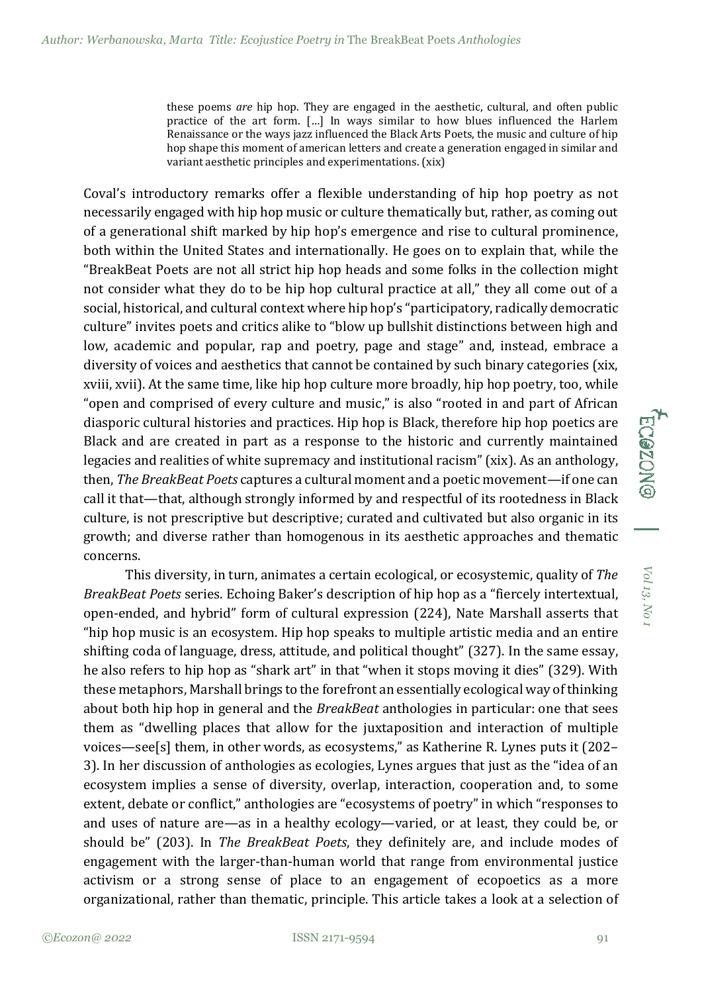these poems *are* hip hop. They are engaged in the aesthetic, cultural, and often public practice of the art form. […] In ways similar to how blues influenced the Harlem Renaissance or the ways jazz influenced the Black Arts Poets, the music and culture of hip hop shape this moment of american letters and create a generation engaged in similar and variant aesthetic principles and experimentations. (xix)

Coval's introductory remarks offer a flexible understanding of hip hop poetry as not necessarily engaged with hip hop music or culture thematically but, rather, as coming out of a generational shift marked by hip hop's emergence and rise to cultural prominence, both within the United States and internationally. He goes on to explain that, while the "BreakBeat Poets are not all strict hip hop heads and some folks in the collection might not consider what they do to be hip hop cultural practice at all," they all come out of a social, historical, and cultural context where hip hop's "participatory, radically democratic culture" invites poets and critics alike to "blow up bullshit distinctions between high and low, academic and popular, rap and poetry, page and stage" and, instead, embrace a diversity of voices and aesthetics that cannot be contained by such binary categories (xix, xviii, xvii). At the same time, like hip hop culture more broadly, hip hop poetry, too, while "open and comprised of every culture and music," is also "rooted in and part of African diasporic cultural histories and practices. Hip hop is Black, therefore hip hop poetics are Black and are created in part as a response to the historic and currently maintained legacies and realities of white supremacy and institutional racism" (xix). As an anthology, then, *The BreakBeat Poets* captures a cultural moment and a poetic movement—if one can call it that—that, although strongly informed by and respectful of its rootedness in Black culture, is not prescriptive but descriptive; curated and cultivated but also organic in its growth; and diverse rather than homogenous in its aesthetic approaches and thematic concerns.

This diversity, in turn, animates a certain ecological, or ecosystemic, quality of *The BreakBeat Poets* series. Echoing Baker's description of hip hop as a "fiercely intertextual, open-ended, and hybrid" form of cultural expression (224), Nate Marshall asserts that "hip hop music is an ecosystem. Hip hop speaks to multiple artistic media and an entire shifting coda of language, dress, attitude, and political thought" (327). In the same essay, he also refers to hip hop as "shark art" in that "when it stops moving it dies" (329). With these metaphors, Marshall brings to the forefront an essentially ecological way of thinking about both hip hop in general and the *BreakBeat* anthologies in particular: one that sees them as "dwelling places that allow for the juxtaposition and interaction of multiple voices—see[s] them, in other words, as ecosystems," as Katherine R. Lynes puts it (202– 3). In her discussion of anthologies as ecologies, Lynes argues that just as the "idea of an ecosystem implies a sense of diversity, overlap, interaction, cooperation and, to some extent, debate or conflict," anthologies are "ecosystems of poetry" in which "responses to and uses of nature are—as in a healthy ecology—varied, or at least, they could be, or should be" (203). In *The BreakBeat Poets*, they definitely are, and include modes of engagement with the larger-than-human world that range from environmental justice activism or a strong sense of place to an engagement of ecopoetics as a more organizational, rather than thematic, principle. This article takes a look at a selection of *Vol 13,*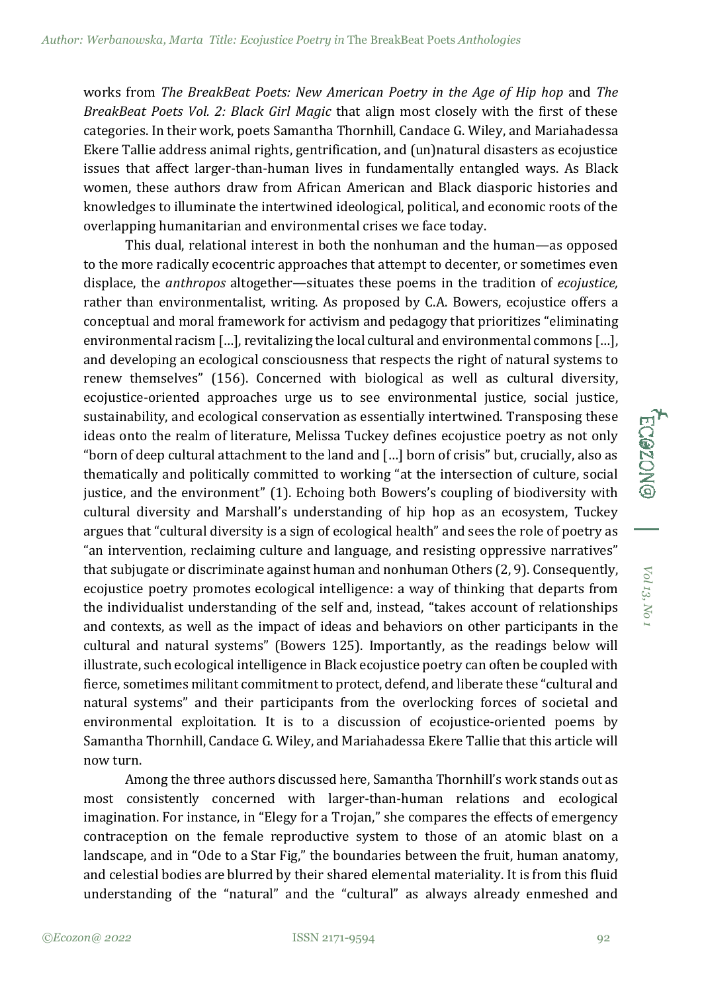works from *The BreakBeat Poets: New American Poetry in the Age of Hip hop* and *The BreakBeat Poets Vol. 2: Black Girl Magic* that align most closely with the first of these categories. In their work, poets Samantha Thornhill, Candace G. Wiley, and Mariahadessa Ekere Tallie address animal rights, gentrification, and (un)natural disasters as ecojustice issues that affect larger-than-human lives in fundamentally entangled ways. As Black women, these authors draw from African American and Black diasporic histories and knowledges to illuminate the intertwined ideological, political, and economic roots of the overlapping humanitarian and environmental crises we face today.

This dual, relational interest in both the nonhuman and the human—as opposed to the more radically ecocentric approaches that attempt to decenter, or sometimes even displace, the *anthropos* altogether—situates these poems in the tradition of *ecojustice,* rather than environmentalist, writing. As proposed by C.A. Bowers, ecojustice offers a conceptual and moral framework for activism and pedagogy that prioritizes "eliminating environmental racism […], revitalizing the local cultural and environmental commons […], and developing an ecological consciousness that respects the right of natural systems to renew themselves" (156). Concerned with biological as well as cultural diversity, ecojustice-oriented approaches urge us to see environmental justice, social justice, sustainability, and ecological conservation as essentially intertwined. Transposing these ideas onto the realm of literature, Melissa Tuckey defines ecojustice poetry as not only "born of deep cultural attachment to the land and […] born of crisis" but, crucially, also as thematically and politically committed to working "at the intersection of culture, social justice, and the environment" (1). Echoing both Bowers's coupling of biodiversity with cultural diversity and Marshall's understanding of hip hop as an ecosystem, Tuckey argues that "cultural diversity is a sign of ecological health" and sees the role of poetry as "an intervention, reclaiming culture and language, and resisting oppressive narratives" that subjugate or discriminate against human and nonhuman Others (2, 9). Consequently, ecojustice poetry promotes ecological intelligence: a way of thinking that departs from the individualist understanding of the self and, instead, "takes account of relationships and contexts, as well as the impact of ideas and behaviors on other participants in the cultural and natural systems" (Bowers 125). Importantly, as the readings below will illustrate, such ecological intelligence in Black ecojustice poetry can often be coupled with fierce, sometimes militant commitment to protect, defend, and liberate these "cultural and natural systems" and their participants from the overlocking forces of societal and environmental exploitation. It is to a discussion of ecojustice-oriented poems by Samantha Thornhill, Candace G. Wiley, and Mariahadessa Ekere Tallie that this article will now turn.

Among the three authors discussed here, Samantha Thornhill's work stands out as most consistently concerned with larger-than-human relations and ecological imagination. For instance, in "Elegy for a Trojan," she compares the effects of emergency contraception on the female reproductive system to those of an atomic blast on a landscape, and in "Ode to a Star Fig," the boundaries between the fruit, human anatomy, and celestial bodies are blurred by their shared elemental materiality. It is from this fluid understanding of the "natural" and the "cultural" as always already enmeshed and

*Vol 13,*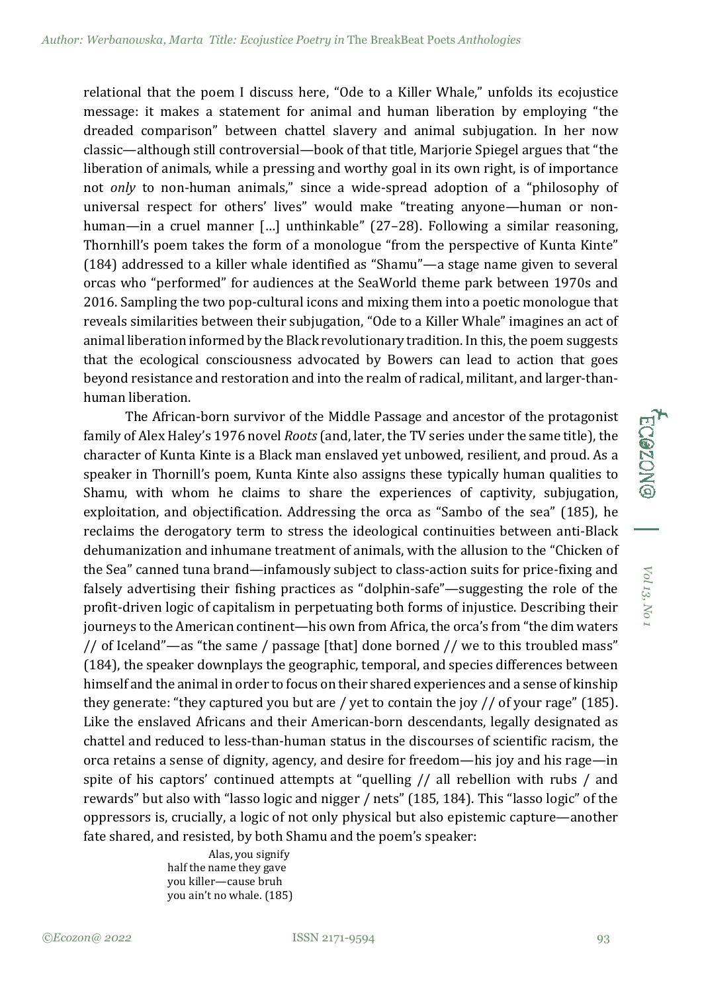relational that the poem I discuss here, "Ode to a Killer Whale," unfolds its ecojustice message: it makes a statement for animal and human liberation by employing "the dreaded comparison" between chattel slavery and animal subjugation. In her now classic—although still controversial—book of that title, Marjorie Spiegel argues that "the liberation of animals, while a pressing and worthy goal in its own right, is of importance not *only* to non-human animals," since a wide-spread adoption of a "philosophy of universal respect for others' lives" would make "treating anyone—human or nonhuman—in a cruel manner […] unthinkable" (27–28). Following a similar reasoning, Thornhill's poem takes the form of a monologue "from the perspective of Kunta Kinte" (184) addressed to a killer whale identified as "Shamu"—a stage name given to several orcas who "performed" for audiences at the SeaWorld theme park between 1970s and 2016. Sampling the two pop-cultural icons and mixing them into a poetic monologue that reveals similarities between their subjugation, "Ode to a Killer Whale" imagines an act of animal liberation informed by the Black revolutionary tradition. In this, the poem suggests that the ecological consciousness advocated by Bowers can lead to action that goes beyond resistance and restoration and into the realm of radical, militant, and larger-thanhuman liberation.

The African-born survivor of the Middle Passage and ancestor of the protagonist family of Alex Haley's 1976 novel *Roots*(and, later, the TV series under the same title), the character of Kunta Kinte is a Black man enslaved yet unbowed, resilient, and proud. As a speaker in Thornill's poem, Kunta Kinte also assigns these typically human qualities to Shamu, with whom he claims to share the experiences of captivity, subjugation, exploitation, and objectification. Addressing the orca as "Sambo of the sea" (185), he reclaims the derogatory term to stress the ideological continuities between anti-Black dehumanization and inhumane treatment of animals, with the allusion to the "Chicken of the Sea" canned tuna brand—infamously subject to class-action suits for price-fixing and falsely advertising their fishing practices as "dolphin-safe"—suggesting the role of the profit-driven logic of capitalism in perpetuating both forms of injustice. Describing their journeys to the American continent—his own from Africa, the orca's from "the dim waters // of Iceland"—as "the same / passage [that] done borned // we to this troubled mass" (184), the speaker downplays the geographic, temporal, and species differences between himself and the animal in order to focus on their shared experiences and a sense of kinship they generate: "they captured you but are / yet to contain the joy // of your rage" (185). Like the enslaved Africans and their American-born descendants, legally designated as chattel and reduced to less-than-human status in the discourses of scientific racism, the orca retains a sense of dignity, agency, and desire for freedom—his joy and his rage—in spite of his captors' continued attempts at "quelling // all rebellion with rubs / and rewards" but also with "lasso logic and nigger / nets" (185, 184). This "lasso logic" of the oppressors is, crucially, a logic of not only physical but also epistemic capture—another fate shared, and resisted, by both Shamu and the poem's speaker:

> Alas, you signify half the name they gave you killer—cause bruh you ain't no whale. (185)

*Vol 13,*

**ECGZON®**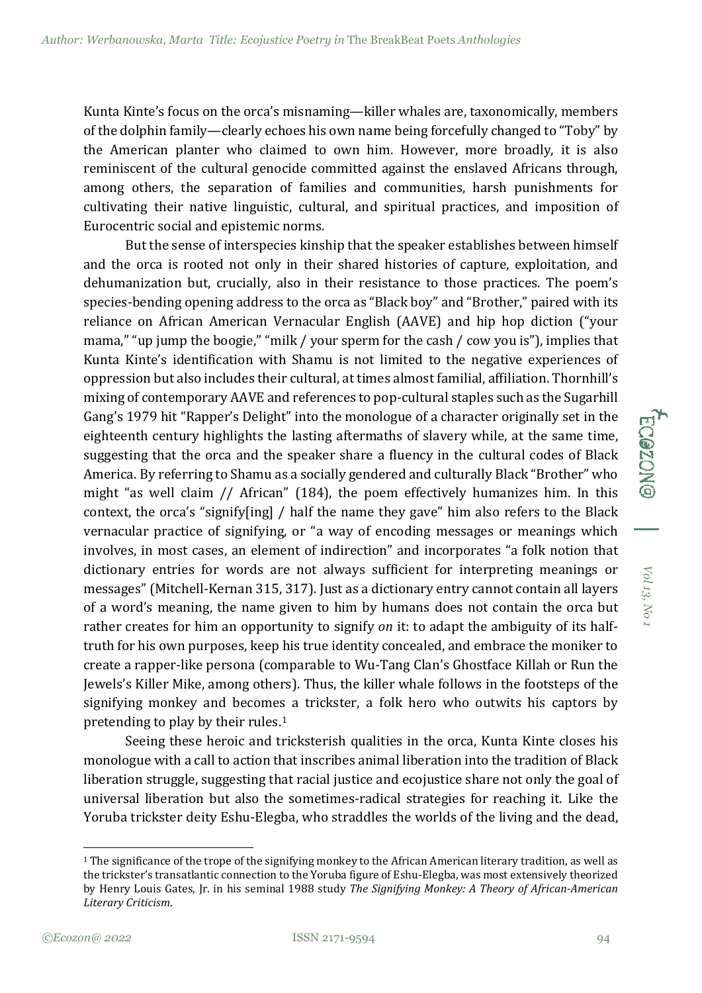Kunta Kinte's focus on the orca's misnaming—killer whales are, taxonomically, members of the dolphin family—clearly echoes his own name being forcefully changed to "Toby" by the American planter who claimed to own him. However, more broadly, it is also reminiscent of the cultural genocide committed against the enslaved Africans through, among others, the separation of families and communities, harsh punishments for cultivating their native linguistic, cultural, and spiritual practices, and imposition of Eurocentric social and epistemic norms.

But the sense of interspecies kinship that the speaker establishes between himself and the orca is rooted not only in their shared histories of capture, exploitation, and dehumanization but, crucially, also in their resistance to those practices. The poem's species-bending opening address to the orca as "Black boy" and "Brother," paired with its reliance on African American Vernacular English (AAVE) and hip hop diction ("your mama," "up jump the boogie," "milk / your sperm for the cash / cow you is"), implies that Kunta Kinte's identification with Shamu is not limited to the negative experiences of oppression but also includes their cultural, at times almost familial, affiliation. Thornhill's mixing of contemporary AAVE and references to pop-cultural staples such as the Sugarhill Gang's 1979 hit "Rapper's Delight" into the monologue of a character originally set in the eighteenth century highlights the lasting aftermaths of slavery while, at the same time, suggesting that the orca and the speaker share a fluency in the cultural codes of Black America. By referring to Shamu as a socially gendered and culturally Black "Brother" who might "as well claim // African" (184), the poem effectively humanizes him. In this context, the orca's "signify[ing] / half the name they gave" him also refers to the Black vernacular practice of signifying, or "a way of encoding messages or meanings which involves, in most cases, an element of indirection" and incorporates "a folk notion that dictionary entries for words are not always sufficient for interpreting meanings or messages" (Mitchell-Kernan 315, 317). Just as a dictionary entry cannot contain all layers of a word's meaning, the name given to him by humans does not contain the orca but rather creates for him an opportunity to signify *on* it: to adapt the ambiguity of its halftruth for his own purposes, keep his true identity concealed, and embrace the moniker to create a rapper-like persona (comparable to Wu-Tang Clan's Ghostface Killah or Run the Jewels's Killer Mike, among others). Thus, the killer whale follows in the footsteps of the signifying monkey and becomes a trickster, a folk hero who outwits his captors by pretending to play by their rules.[1](#page-5-0)

Seeing these heroic and tricksterish qualities in the orca, Kunta Kinte closes his monologue with a call to action that inscribes animal liberation into the tradition of Black liberation struggle, suggesting that racial justice and ecojustice share not only the goal of universal liberation but also the sometimes-radical strategies for reaching it. Like the Yoruba trickster deity Eshu-Elegba, who straddles the worlds of the living and the dead, *Vol 13,*

**ECGZON®** 

<span id="page-5-0"></span> $1$  The significance of the trope of the signifying monkey to the African American literary tradition, as well as the trickster's transatlantic connection to the Yoruba figure of Eshu-Elegba, was most extensively theorized by Henry Louis Gates, Jr. in his seminal 1988 study *The Signifying Monkey: A Theory of African-American Literary Criticism*.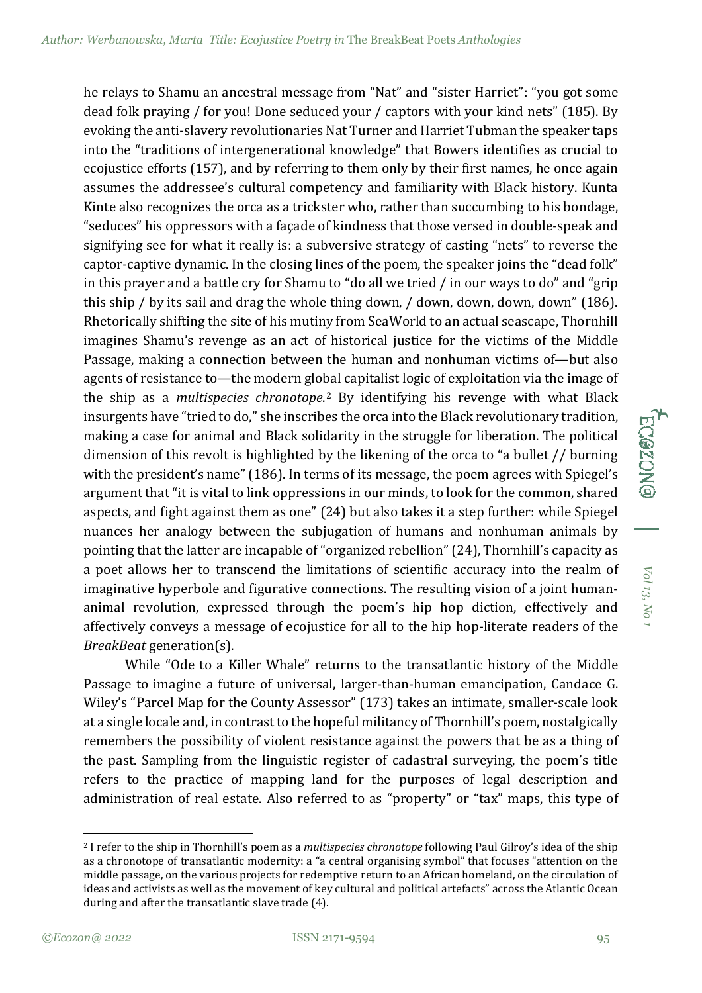he relays to Shamu an ancestral message from "Nat" and "sister Harriet": "you got some dead folk praying / for you! Done seduced your / captors with your kind nets" (185). By evoking the anti-slavery revolutionaries Nat Turner and Harriet Tubman the speaker taps into the "traditions of intergenerational knowledge" that Bowers identifies as crucial to ecojustice efforts (157), and by referring to them only by their first names, he once again assumes the addressee's cultural competency and familiarity with Black history. Kunta Kinte also recognizes the orca as a trickster who, rather than succumbing to his bondage, "seduces" his oppressors with a façade of kindness that those versed in double-speak and signifying see for what it really is: a subversive strategy of casting "nets" to reverse the captor-captive dynamic. In the closing lines of the poem, the speaker joins the "dead folk" in this prayer and a battle cry for Shamu to "do all we tried / in our ways to do" and "grip this ship / by its sail and drag the whole thing down, / down, down, down, down" (186). Rhetorically shifting the site of his mutiny from SeaWorld to an actual seascape, Thornhill imagines Shamu's revenge as an act of historical justice for the victims of the Middle Passage, making a connection between the human and nonhuman victims of—but also agents of resistance to—the modern global capitalist logic of exploitation via the image of the ship as a *multispecies chronotope*. [2](#page-6-0) By identifying his revenge with what Black insurgents have "tried to do," she inscribes the orca into the Black revolutionary tradition, making a case for animal and Black solidarity in the struggle for liberation. The political dimension of this revolt is highlighted by the likening of the orca to "a bullet // burning with the president's name" (186). In terms of its message, the poem agrees with Spiegel's argument that "it is vital to link oppressions in our minds, to look for the common, shared aspects, and fight against them as one" (24) but also takes it a step further: while Spiegel nuances her analogy between the subjugation of humans and nonhuman animals by pointing that the latter are incapable of "organized rebellion" (24), Thornhill's capacity as a poet allows her to transcend the limitations of scientific accuracy into the realm of imaginative hyperbole and figurative connections. The resulting vision of a joint humananimal revolution, expressed through the poem's hip hop diction, effectively and affectively conveys a message of ecojustice for all to the hip hop-literate readers of the *BreakBeat* generation(s).

While "Ode to a Killer Whale" returns to the transatlantic history of the Middle Passage to imagine a future of universal, larger-than-human emancipation, Candace G. Wiley's "Parcel Map for the County Assessor" (173) takes an intimate, smaller-scale look at a single locale and, in contrast to the hopeful militancy of Thornhill's poem, nostalgically remembers the possibility of violent resistance against the powers that be as a thing of the past. Sampling from the linguistic register of cadastral surveying, the poem's title refers to the practice of mapping land for the purposes of legal description and administration of real estate. Also referred to as "property" or "tax" maps, this type of *Vol 13,*

**ECOZON** 

<span id="page-6-0"></span><sup>2</sup> I refer to the ship in Thornhill's poem as a *multispecies chronotope* following Paul Gilroy's idea of the ship as a chronotope of transatlantic modernity: a "a central organising symbol" that focuses "attention on the middle passage, on the various projects for redemptive return to an African homeland, on the circulation of ideas and activists as well as the movement of key cultural and political artefacts" across the Atlantic Ocean during and after the transatlantic slave trade (4).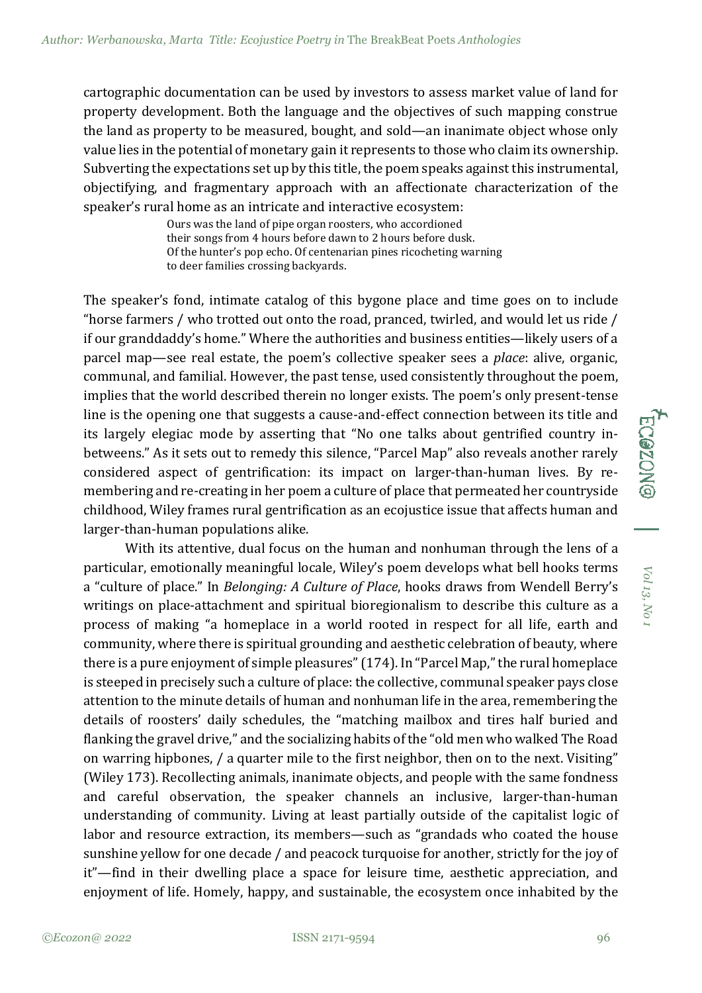cartographic documentation can be used by investors to assess market value of land for property development. Both the language and the objectives of such mapping construe the land as property to be measured, bought, and sold—an inanimate object whose only value lies in the potential of monetary gain it represents to those who claim its ownership. Subverting the expectations set up by this title, the poem speaks against this instrumental, objectifying, and fragmentary approach with an affectionate characterization of the speaker's rural home as an intricate and interactive ecosystem:

> Ours was the land of pipe organ roosters, who accordioned their songs from 4 hours before dawn to 2 hours before dusk. Of the hunter's pop echo. Of centenarian pines ricocheting warning to deer families crossing backyards.

The speaker's fond, intimate catalog of this bygone place and time goes on to include "horse farmers / who trotted out onto the road, pranced, twirled, and would let us ride / if our granddaddy's home." Where the authorities and business entities—likely users of a parcel map—see real estate, the poem's collective speaker sees a *place*: alive, organic, communal, and familial. However, the past tense, used consistently throughout the poem, implies that the world described therein no longer exists. The poem's only present-tense line is the opening one that suggests a cause-and-effect connection between its title and its largely elegiac mode by asserting that "No one talks about gentrified country inbetweens." As it sets out to remedy this silence, "Parcel Map" also reveals another rarely considered aspect of gentrification: its impact on larger-than-human lives. By remembering and re-creating in her poem a culture of place that permeated her countryside childhood, Wiley frames rural gentrification as an ecojustice issue that affects human and larger-than-human populations alike.

With its attentive, dual focus on the human and nonhuman through the lens of a particular, emotionally meaningful locale, Wiley's poem develops what bell hooks terms a "culture of place." In *Belonging: A Culture of Place*, hooks draws from Wendell Berry's writings on place-attachment and spiritual bioregionalism to describe this culture as a process of making "a homeplace in a world rooted in respect for all life, earth and community, where there is spiritual grounding and aesthetic celebration of beauty, where there is a pure enjoyment of simple pleasures" (174). In "Parcel Map," the rural homeplace is steeped in precisely such a culture of place: the collective, communal speaker pays close attention to the minute details of human and nonhuman life in the area, remembering the details of roosters' daily schedules, the "matching mailbox and tires half buried and flanking the gravel drive," and the socializing habits of the "old men who walked The Road on warring hipbones, / a quarter mile to the first neighbor, then on to the next. Visiting" (Wiley 173). Recollecting animals, inanimate objects, and people with the same fondness and careful observation, the speaker channels an inclusive, larger-than-human understanding of community. Living at least partially outside of the capitalist logic of labor and resource extraction, its members—such as "grandads who coated the house sunshine yellow for one decade / and peacock turquoise for another, strictly for the joy of it"—find in their dwelling place a space for leisure time, aesthetic appreciation, and enjoyment of life. Homely, happy, and sustainable, the ecosystem once inhabited by the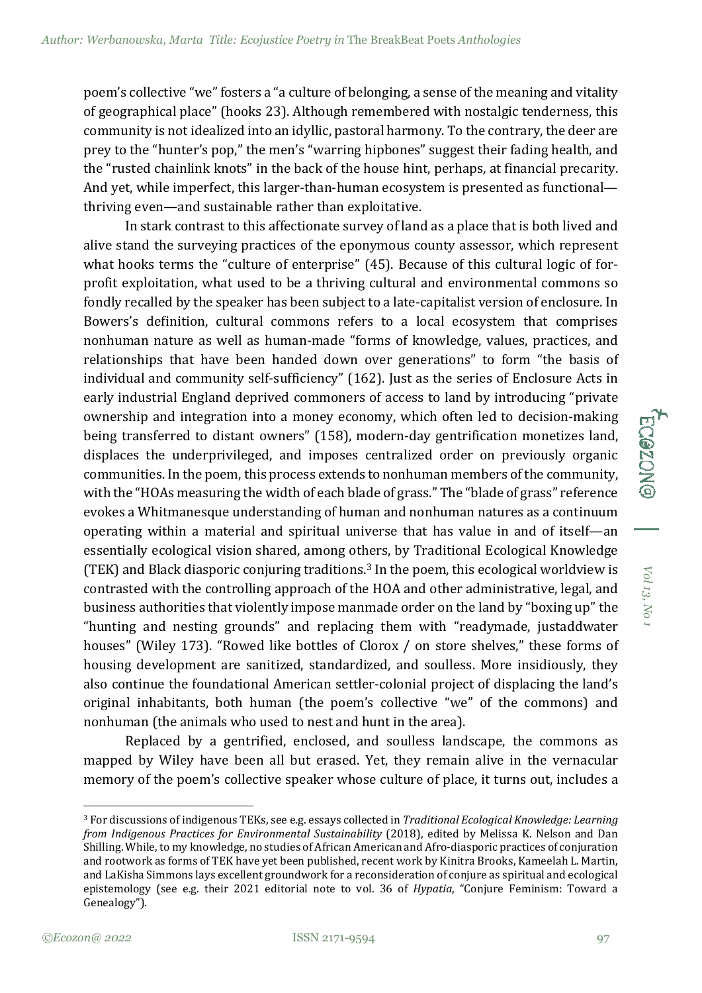poem's collective "we" fosters a "a culture of belonging, a sense of the meaning and vitality of geographical place" (hooks 23). Although remembered with nostalgic tenderness, this community is not idealized into an idyllic, pastoral harmony. To the contrary, the deer are prey to the "hunter's pop," the men's "warring hipbones" suggest their fading health, and the "rusted chainlink knots" in the back of the house hint, perhaps, at financial precarity. And yet, while imperfect, this larger-than-human ecosystem is presented as functional thriving even—and sustainable rather than exploitative.

In stark contrast to this affectionate survey of land as a place that is both lived and alive stand the surveying practices of the eponymous county assessor, which represent what hooks terms the "culture of enterprise" (45). Because of this cultural logic of forprofit exploitation, what used to be a thriving cultural and environmental commons so fondly recalled by the speaker has been subject to a late-capitalist version of enclosure. In Bowers's definition, cultural commons refers to a local ecosystem that comprises nonhuman nature as well as human-made "forms of knowledge, values, practices, and relationships that have been handed down over generations" to form "the basis of individual and community self-sufficiency" (162). Just as the series of Enclosure Acts in early industrial England deprived commoners of access to land by introducing "private ownership and integration into a money economy, which often led to decision-making being transferred to distant owners" (158), modern-day gentrification monetizes land, displaces the underprivileged, and imposes centralized order on previously organic communities. In the poem, this process extends to nonhuman members of the community, with the "HOAs measuring the width of each blade of grass." The "blade of grass" reference evokes a Whitmanesque understanding of human and nonhuman natures as a continuum operating within a material and spiritual universe that has value in and of itself—an essentially ecological vision shared, among others, by Traditional Ecological Knowledge (TEK) and Black diasporic conjuring traditions.<sup>[3](#page-8-0)</sup> In the poem, this ecological worldview is contrasted with the controlling approach of the HOA and other administrative, legal, and business authorities that violently impose manmade order on the land by "boxing up" the "hunting and nesting grounds" and replacing them with "readymade, justaddwater houses" (Wiley 173). "Rowed like bottles of Clorox / on store shelves," these forms of housing development are sanitized, standardized, and soulless. More insidiously, they also continue the foundational American settler-colonial project of displacing the land's original inhabitants, both human (the poem's collective "we" of the commons) and nonhuman (the animals who used to nest and hunt in the area).

Replaced by a gentrified, enclosed, and soulless landscape, the commons as mapped by Wiley have been all but erased. Yet, they remain alive in the vernacular memory of the poem's collective speaker whose culture of place, it turns out, includes a

<span id="page-8-0"></span><sup>3</sup> For discussions of indigenous TEKs, see e.g. essays collected in *Traditional Ecological Knowledge: Learning from Indigenous Practices for Environmental Sustainability* (2018), edited by Melissa K. Nelson and Dan Shilling. While, to my knowledge, no studies of African American and Afro-diasporic practices of conjuration and rootwork as forms of TEK have yet been published, recent work by Kinitra Brooks, Kameelah L. Martin, and LaKisha Simmons lays excellent groundwork for a reconsideration of conjure as spiritual and ecological epistemology (see e.g. their 2021 editorial note to vol. 36 of *Hypatia*, "Conjure Feminism: Toward a Genealogy").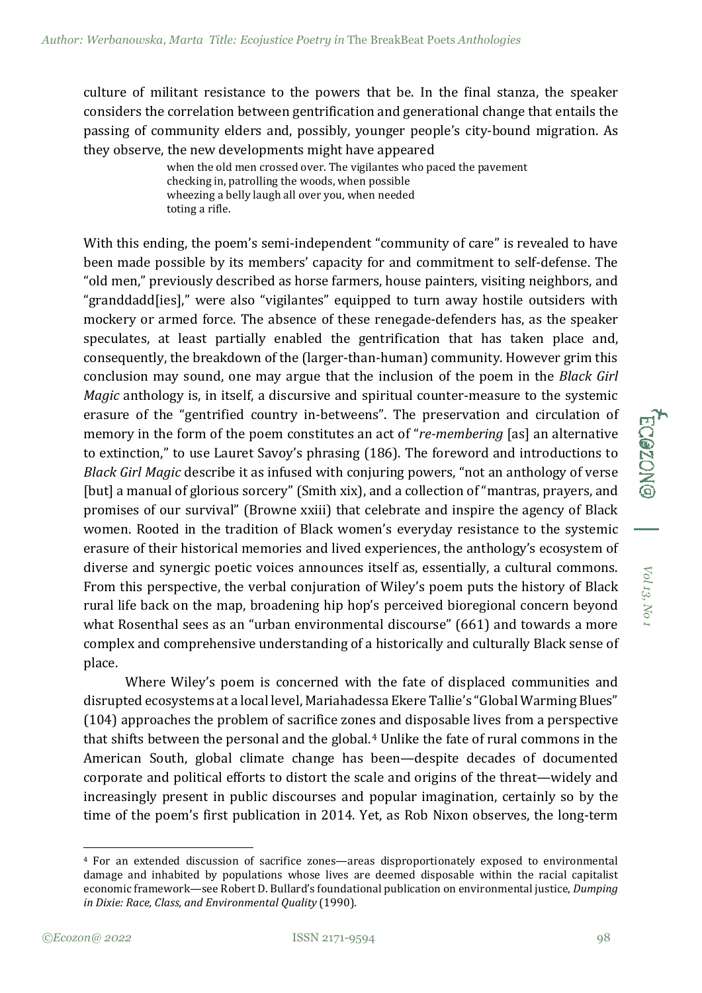culture of militant resistance to the powers that be. In the final stanza, the speaker considers the correlation between gentrification and generational change that entails the passing of community elders and, possibly, younger people's city-bound migration. As they observe, the new developments might have appeared

> when the old men crossed over. The vigilantes who paced the pavement checking in, patrolling the woods, when possible wheezing a belly laugh all over you, when needed toting a rifle.

With this ending, the poem's semi-independent "community of care" is revealed to have been made possible by its members' capacity for and commitment to self-defense. The "old men," previously described as horse farmers, house painters, visiting neighbors, and "granddadd[ies]," were also "vigilantes" equipped to turn away hostile outsiders with mockery or armed force. The absence of these renegade-defenders has, as the speaker speculates, at least partially enabled the gentrification that has taken place and, consequently, the breakdown of the (larger-than-human) community. However grim this conclusion may sound, one may argue that the inclusion of the poem in the *Black Girl Magic* anthology is, in itself, a discursive and spiritual counter-measure to the systemic erasure of the "gentrified country in-betweens". The preservation and circulation of memory in the form of the poem constitutes an act of "*re-membering* [as] an alternative to extinction," to use Lauret Savoy's phrasing (186). The foreword and introductions to *Black Girl Magic* describe it as infused with conjuring powers, "not an anthology of verse [but] a manual of glorious sorcery" (Smith xix), and a collection of "mantras, prayers, and promises of our survival" (Browne xxiii) that celebrate and inspire the agency of Black women. Rooted in the tradition of Black women's everyday resistance to the systemic erasure of their historical memories and lived experiences, the anthology's ecosystem of diverse and synergic poetic voices announces itself as, essentially, a cultural commons. From this perspective, the verbal conjuration of Wiley's poem puts the history of Black rural life back on the map, broadening hip hop's perceived bioregional concern beyond what Rosenthal sees as an "urban environmental discourse" (661) and towards a more complex and comprehensive understanding of a historically and culturally Black sense of place.

Where Wiley's poem is concerned with the fate of displaced communities and disrupted ecosystems at a local level, Mariahadessa Ekere Tallie's "Global Warming Blues" (104) approaches the problem of sacrifice zones and disposable lives from a perspective that shifts between the personal and the global.[4](#page-9-0) Unlike the fate of rural commons in the American South, global climate change has been—despite decades of documented corporate and political efforts to distort the scale and origins of the threat—widely and increasingly present in public discourses and popular imagination, certainly so by the time of the poem's first publication in 2014. Yet, as Rob Nixon observes, the long-term

<span id="page-9-0"></span><sup>4</sup> For an extended discussion of sacrifice zones—areas disproportionately exposed to environmental damage and inhabited by populations whose lives are deemed disposable within the racial capitalist economic framework—see Robert D. Bullard's foundational publication on environmental justice, *Dumping in Dixie: Race, Class, and Environmental Quality* (1990).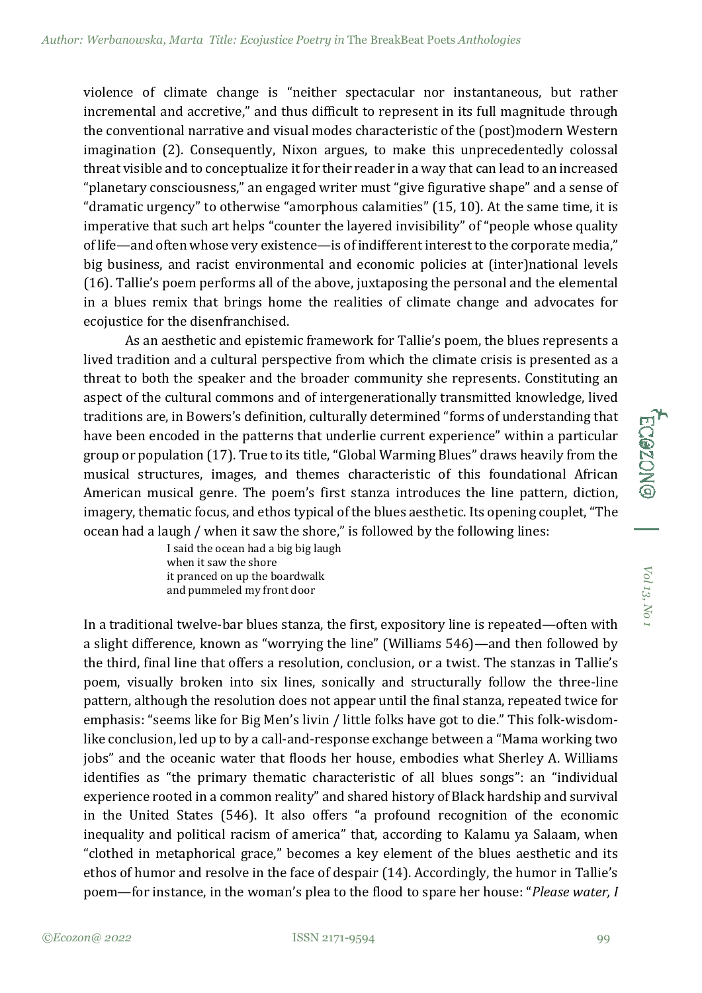violence of climate change is "neither spectacular nor instantaneous, but rather incremental and accretive," and thus difficult to represent in its full magnitude through the conventional narrative and visual modes characteristic of the (post)modern Western imagination (2). Consequently, Nixon argues, to make this unprecedentedly colossal threat visible and to conceptualize it for their reader in a way that can lead to an increased "planetary consciousness," an engaged writer must "give figurative shape" and a sense of "dramatic urgency" to otherwise "amorphous calamities" (15, 10). At the same time, it is imperative that such art helps "counter the layered invisibility" of "people whose quality of life—and often whose very existence—is of indifferent interest to the corporate media," big business, and racist environmental and economic policies at (inter)national levels (16). Tallie's poem performs all of the above, juxtaposing the personal and the elemental in a blues remix that brings home the realities of climate change and advocates for ecojustice for the disenfranchised.

As an aesthetic and epistemic framework for Tallie's poem, the blues represents a lived tradition and a cultural perspective from which the climate crisis is presented as a threat to both the speaker and the broader community she represents. Constituting an aspect of the cultural commons and of intergenerationally transmitted knowledge, lived traditions are, in Bowers's definition, culturally determined "forms of understanding that have been encoded in the patterns that underlie current experience" within a particular group or population (17). True to its title, "Global Warming Blues" draws heavily from the musical structures, images, and themes characteristic of this foundational African American musical genre. The poem's first stanza introduces the line pattern, diction, imagery, thematic focus, and ethos typical of the blues aesthetic. Its opening couplet, "The ocean had a laugh / when it saw the shore," is followed by the following lines:

> I said the ocean had a big big laugh when it saw the shore it pranced on up the boardwalk and pummeled my front door

In a traditional twelve-bar blues stanza, the first, expository line is repeated—often with a slight difference, known as "worrying the line" (Williams 546)—and then followed by the third, final line that offers a resolution, conclusion, or a twist. The stanzas in Tallie's poem, visually broken into six lines, sonically and structurally follow the three-line pattern, although the resolution does not appear until the final stanza, repeated twice for emphasis: "seems like for Big Men's livin / little folks have got to die." This folk-wisdomlike conclusion, led up to by a call-and-response exchange between a "Mama working two jobs" and the oceanic water that floods her house, embodies what Sherley A. Williams identifies as "the primary thematic characteristic of all blues songs": an "individual experience rooted in a common reality" and shared history of Black hardship and survival in the United States (546). It also offers "a profound recognition of the economic inequality and political racism of america" that, according to Kalamu ya Salaam, when "clothed in metaphorical grace," becomes a key element of the blues aesthetic and its ethos of humor and resolve in the face of despair (14). Accordingly, the humor in Tallie's poem—for instance, in the woman's plea to the flood to spare her house: "*Please water, I*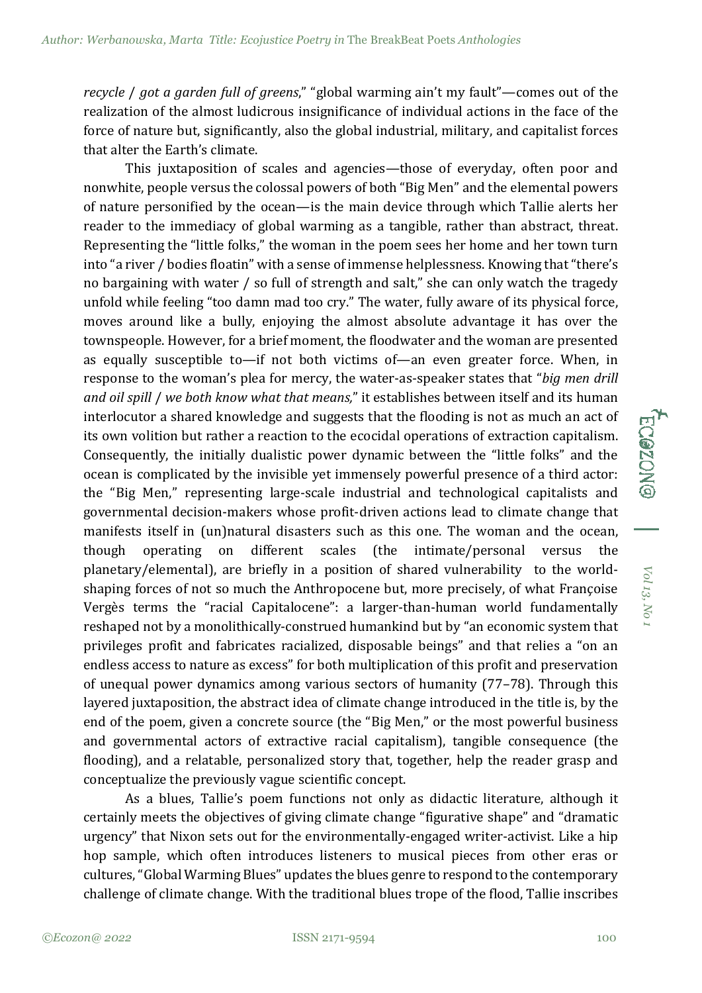*recycle* / *got a garden full of greens*," "global warming ain't my fault"—comes out of the realization of the almost ludicrous insignificance of individual actions in the face of the force of nature but, significantly, also the global industrial, military, and capitalist forces that alter the Earth's climate.

This juxtaposition of scales and agencies—those of everyday, often poor and nonwhite, people versus the colossal powers of both "Big Men" and the elemental powers of nature personified by the ocean—is the main device through which Tallie alerts her reader to the immediacy of global warming as a tangible, rather than abstract, threat. Representing the "little folks," the woman in the poem sees her home and her town turn into "a river / bodies floatin" with a sense of immense helplessness. Knowing that "there's no bargaining with water / so full of strength and salt," she can only watch the tragedy unfold while feeling "too damn mad too cry." The water, fully aware of its physical force, moves around like a bully, enjoying the almost absolute advantage it has over the townspeople. However, for a brief moment, the floodwater and the woman are presented as equally susceptible to—if not both victims of—an even greater force. When, in response to the woman's plea for mercy, the water-as-speaker states that "*big men drill and oil spill* / *we both know what that means,*" it establishes between itself and its human interlocutor a shared knowledge and suggests that the flooding is not as much an act of its own volition but rather a reaction to the ecocidal operations of extraction capitalism. Consequently, the initially dualistic power dynamic between the "little folks" and the ocean is complicated by the invisible yet immensely powerful presence of a third actor: the "Big Men," representing large-scale industrial and technological capitalists and governmental decision-makers whose profit-driven actions lead to climate change that manifests itself in (un)natural disasters such as this one. The woman and the ocean, though operating on different scales (the intimate/personal versus the planetary/elemental), are briefly in a position of shared vulnerability to the worldshaping forces of not so much the Anthropocene but, more precisely, of what Françoise Vergès terms the "racial Capitalocene": a larger-than-human world fundamentally reshaped not by a monolithically-construed humankind but by "an economic system that privileges profit and fabricates racialized, disposable beings" and that relies a "on an endless access to nature as excess" for both multiplication of this profit and preservation of unequal power dynamics among various sectors of humanity (77–78). Through this layered juxtaposition, the abstract idea of climate change introduced in the title is, by the end of the poem, given a concrete source (the "Big Men," or the most powerful business and governmental actors of extractive racial capitalism), tangible consequence (the flooding), and a relatable, personalized story that, together, help the reader grasp and conceptualize the previously vague scientific concept.

As a blues, Tallie's poem functions not only as didactic literature, although it certainly meets the objectives of giving climate change "figurative shape" and "dramatic urgency" that Nixon sets out for the environmentally-engaged writer-activist. Like a hip hop sample, which often introduces listeners to musical pieces from other eras or cultures, "Global Warming Blues" updates the blues genre to respond to the contemporary challenge of climate change. With the traditional blues trope of the flood, Tallie inscribes

*Vol 13,*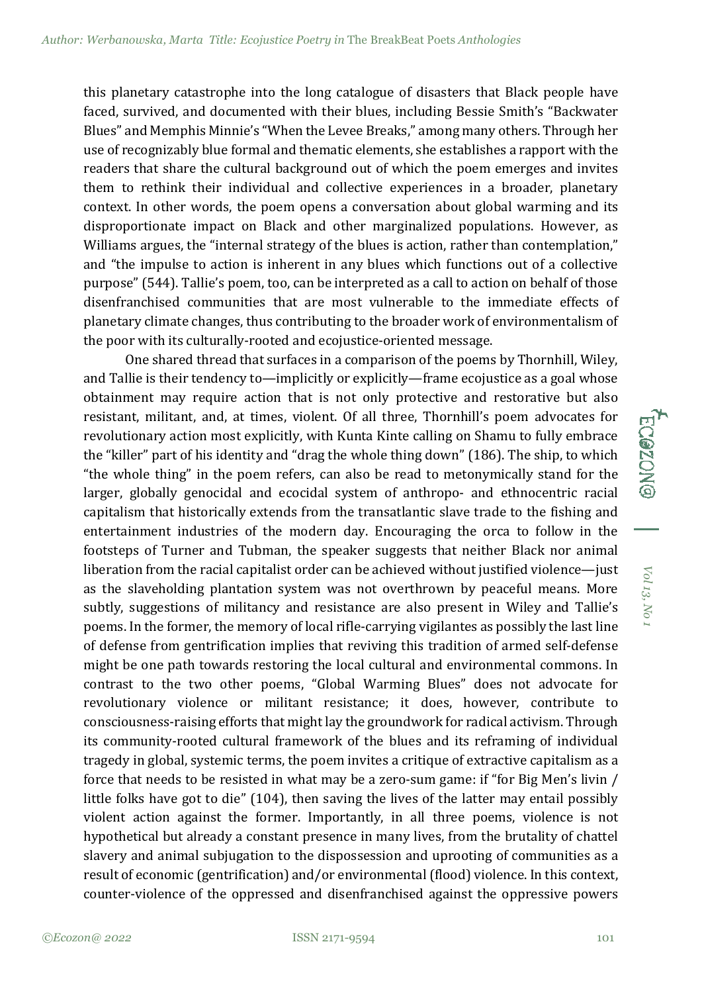this planetary catastrophe into the long catalogue of disasters that Black people have faced, survived, and documented with their blues, including Bessie Smith's "Backwater Blues" and Memphis Minnie's "When the Levee Breaks," among many others. Through her use of recognizably blue formal and thematic elements, she establishes a rapport with the readers that share the cultural background out of which the poem emerges and invites them to rethink their individual and collective experiences in a broader, planetary context. In other words, the poem opens a conversation about global warming and its disproportionate impact on Black and other marginalized populations. However, as Williams argues, the "internal strategy of the blues is action, rather than contemplation," and "the impulse to action is inherent in any blues which functions out of a collective purpose" (544). Tallie's poem, too, can be interpreted as a call to action on behalf of those disenfranchised communities that are most vulnerable to the immediate effects of planetary climate changes, thus contributing to the broader work of environmentalism of the poor with its culturally-rooted and ecojustice-oriented message.

One shared thread that surfaces in a comparison of the poems by Thornhill, Wiley, and Tallie is their tendency to—implicitly or explicitly—frame ecojustice as a goal whose obtainment may require action that is not only protective and restorative but also resistant, militant, and, at times, violent. Of all three, Thornhill's poem advocates for revolutionary action most explicitly, with Kunta Kinte calling on Shamu to fully embrace the "killer" part of his identity and "drag the whole thing down" (186). The ship, to which "the whole thing" in the poem refers, can also be read to metonymically stand for the larger, globally genocidal and ecocidal system of anthropo- and ethnocentric racial capitalism that historically extends from the transatlantic slave trade to the fishing and entertainment industries of the modern day. Encouraging the orca to follow in the footsteps of Turner and Tubman, the speaker suggests that neither Black nor animal liberation from the racial capitalist order can be achieved without justified violence—just as the slaveholding plantation system was not overthrown by peaceful means. More subtly, suggestions of militancy and resistance are also present in Wiley and Tallie's poems. In the former, the memory of local rifle-carrying vigilantes as possibly the last line of defense from gentrification implies that reviving this tradition of armed self-defense might be one path towards restoring the local cultural and environmental commons. In contrast to the two other poems, "Global Warming Blues" does not advocate for revolutionary violence or militant resistance; it does, however, contribute to consciousness-raising efforts that might lay the groundwork for radical activism. Through its community-rooted cultural framework of the blues and its reframing of individual tragedy in global, systemic terms, the poem invites a critique of extractive capitalism as a force that needs to be resisted in what may be a zero-sum game: if "for Big Men's livin / little folks have got to die" (104), then saving the lives of the latter may entail possibly violent action against the former. Importantly, in all three poems, violence is not hypothetical but already a constant presence in many lives, from the brutality of chattel slavery and animal subjugation to the dispossession and uprooting of communities as a result of economic (gentrification) and/or environmental (flood) violence. In this context, counter-violence of the oppressed and disenfranchised against the oppressive powers

*Vol 13,*

**ECOZON**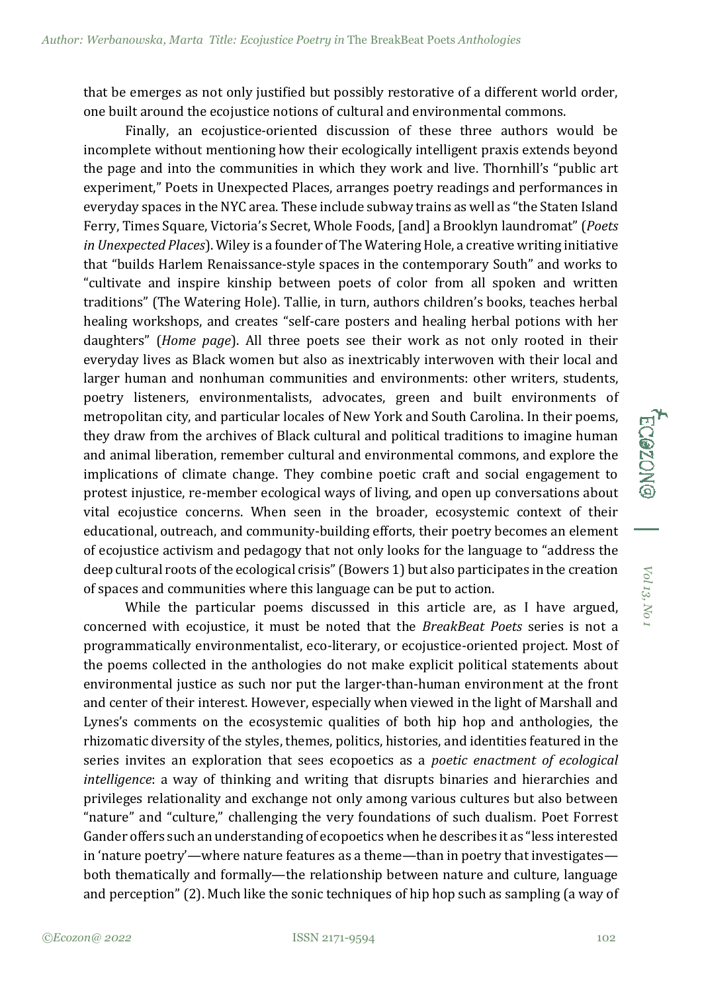that be emerges as not only justified but possibly restorative of a different world order, one built around the ecojustice notions of cultural and environmental commons.

Finally, an ecojustice-oriented discussion of these three authors would be incomplete without mentioning how their ecologically intelligent praxis extends beyond the page and into the communities in which they work and live. Thornhill's "public art experiment," Poets in Unexpected Places, arranges poetry readings and performances in everyday spaces in the NYC area. These include subway trains as well as "the Staten Island Ferry, Times Square, Victoria's Secret, Whole Foods, [and] a Brooklyn laundromat" (*Poets in Unexpected Places*). Wiley is a founder of The Watering Hole, a creative writing initiative that "builds Harlem Renaissance-style spaces in the contemporary South" and works to "cultivate and inspire kinship between poets of color from all spoken and written traditions" (The Watering Hole). Tallie, in turn, authors children's books, teaches herbal healing workshops, and creates "self-care posters and healing herbal potions with her daughters" (*Home page*). All three poets see their work as not only rooted in their everyday lives as Black women but also as inextricably interwoven with their local and larger human and nonhuman communities and environments: other writers, students, poetry listeners, environmentalists, advocates, green and built environments of metropolitan city, and particular locales of New York and South Carolina. In their poems, they draw from the archives of Black cultural and political traditions to imagine human and animal liberation, remember cultural and environmental commons, and explore the implications of climate change. They combine poetic craft and social engagement to protest injustice, re-member ecological ways of living, and open up conversations about vital ecojustice concerns. When seen in the broader, ecosystemic context of their educational, outreach, and community-building efforts, their poetry becomes an element of ecojustice activism and pedagogy that not only looks for the language to "address the deep cultural roots of the ecological crisis" (Bowers 1) but also participates in the creation of spaces and communities where this language can be put to action.

While the particular poems discussed in this article are, as I have argued, concerned with ecojustice, it must be noted that the *BreakBeat Poets* series is not a programmatically environmentalist, eco-literary, or ecojustice-oriented project. Most of the poems collected in the anthologies do not make explicit political statements about environmental justice as such nor put the larger-than-human environment at the front and center of their interest. However, especially when viewed in the light of Marshall and Lynes's comments on the ecosystemic qualities of both hip hop and anthologies, the rhizomatic diversity of the styles, themes, politics, histories, and identities featured in the series invites an exploration that sees ecopoetics as a *poetic enactment of ecological intelligence*: a way of thinking and writing that disrupts binaries and hierarchies and privileges relationality and exchange not only among various cultures but also between "nature" and "culture," challenging the very foundations of such dualism. Poet Forrest Gander offers such an understanding of ecopoetics when he describes it as "less interested in 'nature poetry'—where nature features as a theme—than in poetry that investigates both thematically and formally—the relationship between nature and culture, language and perception" (2). Much like the sonic techniques of hip hop such as sampling (a way of *Vol 13,*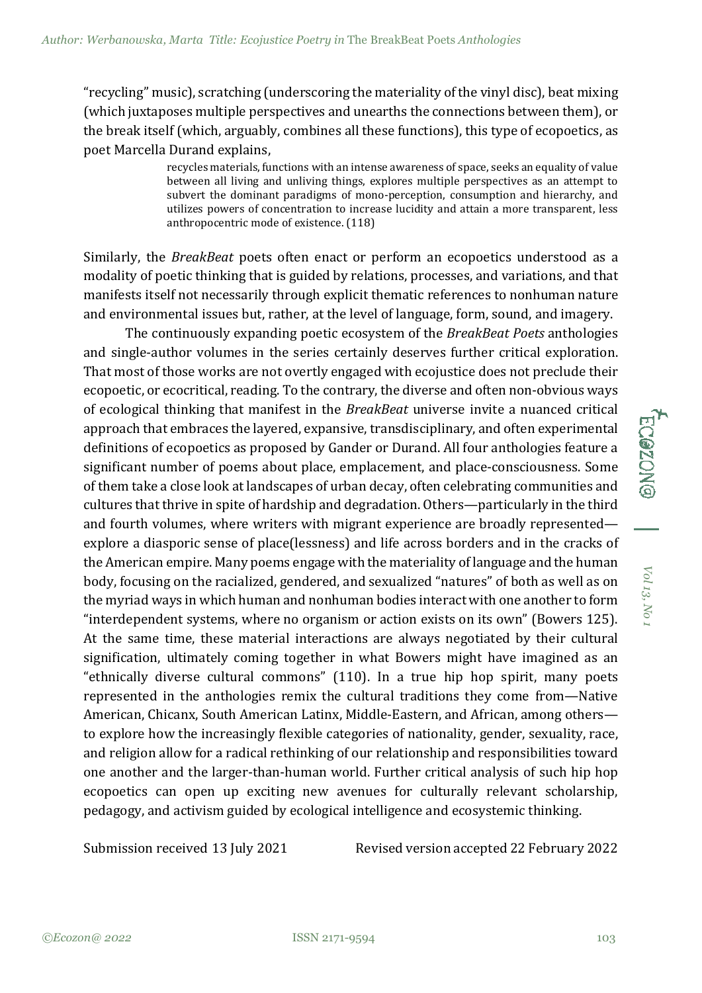"recycling" music), scratching (underscoring the materiality of the vinyl disc), beat mixing (which juxtaposes multiple perspectives and unearths the connections between them), or the break itself (which, arguably, combines all these functions), this type of ecopoetics, as poet Marcella Durand explains,

> recycles materials, functions with an intense awareness of space, seeks an equality of value between all living and unliving things, explores multiple perspectives as an attempt to subvert the dominant paradigms of mono-perception, consumption and hierarchy, and utilizes powers of concentration to increase lucidity and attain a more transparent, less anthropocentric mode of existence. (118)

Similarly, the *BreakBeat* poets often enact or perform an ecopoetics understood as a modality of poetic thinking that is guided by relations, processes, and variations, and that manifests itself not necessarily through explicit thematic references to nonhuman nature and environmental issues but, rather, at the level of language, form, sound, and imagery.

The continuously expanding poetic ecosystem of the *BreakBeat Poets* anthologies and single-author volumes in the series certainly deserves further critical exploration. That most of those works are not overtly engaged with ecojustice does not preclude their ecopoetic, or ecocritical, reading. To the contrary, the diverse and often non-obvious ways of ecological thinking that manifest in the *BreakBeat* universe invite a nuanced critical approach that embraces the layered, expansive, transdisciplinary, and often experimental definitions of ecopoetics as proposed by Gander or Durand. All four anthologies feature a significant number of poems about place, emplacement, and place-consciousness. Some of them take a close look at landscapes of urban decay, often celebrating communities and cultures that thrive in spite of hardship and degradation. Others—particularly in the third and fourth volumes, where writers with migrant experience are broadly represented explore a diasporic sense of place(lessness) and life across borders and in the cracks of the American empire. Many poems engage with the materiality of language and the human body, focusing on the racialized, gendered, and sexualized "natures" of both as well as on the myriad ways in which human and nonhuman bodies interact with one another to form "interdependent systems, where no organism or action exists on its own" (Bowers 125). At the same time, these material interactions are always negotiated by their cultural signification, ultimately coming together in what Bowers might have imagined as an "ethnically diverse cultural commons" (110). In a true hip hop spirit, many poets represented in the anthologies remix the cultural traditions they come from—Native American, Chicanx, South American Latinx, Middle-Eastern, and African, among others to explore how the increasingly flexible categories of nationality, gender, sexuality, race, and religion allow for a radical rethinking of our relationship and responsibilities toward one another and the larger-than-human world. Further critical analysis of such hip hop ecopoetics can open up exciting new avenues for culturally relevant scholarship, pedagogy, and activism guided by ecological intelligence and ecosystemic thinking.

Submission received 13 July 2021 Revised version accepted 22 February 2022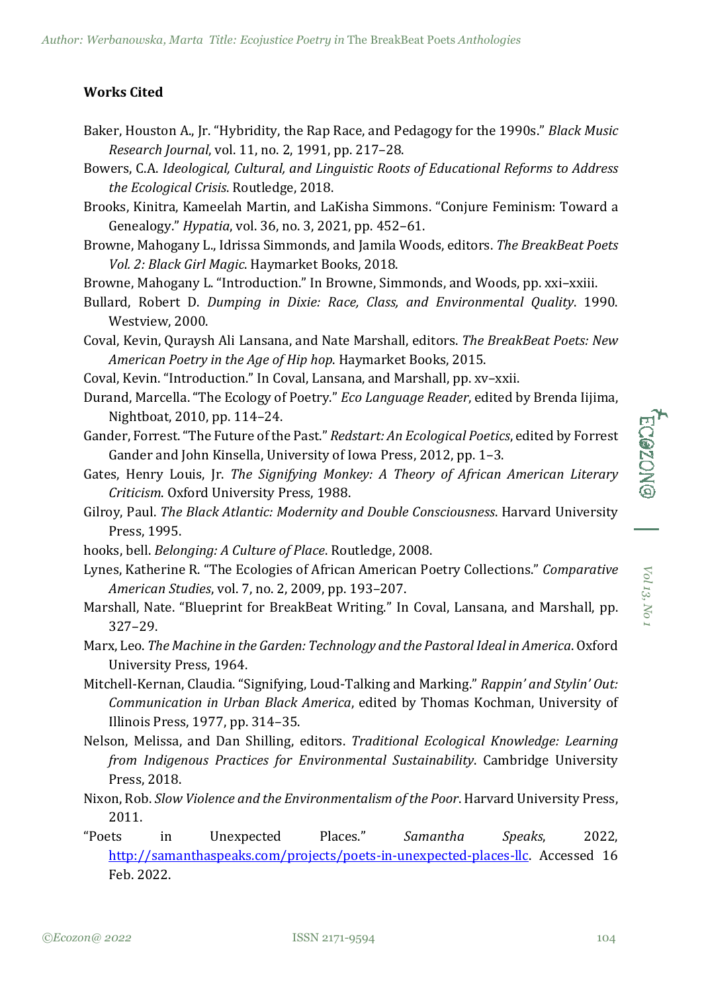## **Works Cited**

- Baker, Houston A., Jr. "Hybridity, the Rap Race, and Pedagogy for the 1990s." *Black Music Research Journal*, vol. 11, no. 2, 1991, pp. 217–28.
- Bowers, C.A. *Ideological, Cultural, and Linguistic Roots of Educational Reforms to Address the Ecological Crisis*. Routledge, 2018.
- Brooks, Kinitra, Kameelah Martin, and LaKisha Simmons. "Conjure Feminism: Toward a Genealogy." *Hypatia*, vol. 36, no. 3, 2021, pp. 452–61.
- Browne, Mahogany L., Idrissa Simmonds, and Jamila Woods, editors. *The BreakBeat Poets Vol. 2: Black Girl Magic*. Haymarket Books, 2018.
- Browne, Mahogany L. "Introduction." In Browne, Simmonds, and Woods, pp. xxi–xxiii.
- Bullard, Robert D. *Dumping in Dixie: Race, Class, and Environmental Quality*. 1990. Westview, 2000.
- Coval, Kevin, Quraysh Ali Lansana, and Nate Marshall, editors. *The BreakBeat Poets: New American Poetry in the Age of Hip hop*. Haymarket Books, 2015.
- Coval, Kevin. "Introduction." In Coval, Lansana, and Marshall, pp. xv–xxii.
- Durand, Marcella. "The Ecology of Poetry." *Eco Language Reader*, edited by Brenda Iijima, Nightboat, 2010, pp. 114–24.
- Gander, Forrest. "The Future of the Past." *Redstart: An Ecological Poetics*, edited by Forrest Gander and John Kinsella, University of Iowa Press, 2012, pp. 1–3.
- Gates, Henry Louis, Jr. *The Signifying Monkey: A Theory of African American Literary Criticism*. Oxford University Press, 1988.
- Gilroy, Paul. *The Black Atlantic: Modernity and Double Consciousness*. Harvard University Press, 1995.
- hooks, bell. *Belonging: A Culture of Place*. Routledge, 2008.
- Lynes, Katherine R. "The Ecologies of African American Poetry Collections." *Comparative American Studies*, vol. 7, no. 2, 2009, pp. 193–207.
- Marshall, Nate. "Blueprint for BreakBeat Writing." In Coval, Lansana, and Marshall, pp. 327–29.
- Marx, Leo. *The Machine in the Garden: Technology and the Pastoral Ideal in America*. Oxford University Press, 1964.
- Mitchell-Kernan, Claudia. "Signifying, Loud-Talking and Marking." *Rappin' and Stylin' Out: Communication in Urban Black America*, edited by Thomas Kochman, University of Illinois Press, 1977, pp. 314–35.
- Nelson, Melissa, and Dan Shilling, editors. *Traditional Ecological Knowledge: Learning from Indigenous Practices for Environmental Sustainability*. Cambridge University Press, 2018.
- Nixon, Rob. *Slow Violence and the Environmentalism of the Poor*. Harvard University Press, 2011.
- "Poets in Unexpected Places." *Samantha Speaks*, 2022, [http://samanthaspeaks.com/projects/poets-in-unexpected-places-llc.](http://samanthaspeaks.com/projects/poets-in-unexpected-places-llc) Accessed 16 Feb. 2022.

*Vol 13,*